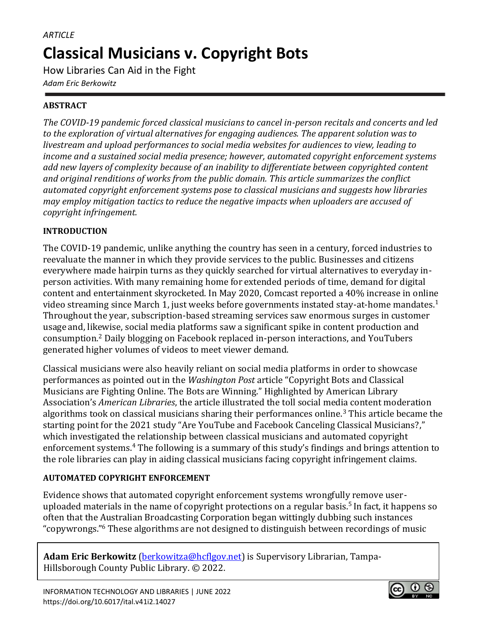# *ARTICLE* **Classical Musicians v. Copyright Bots**

How Libraries Can Aid in the Fight

*Adam Eric Berkowitz*

## **ABSTRACT**

*The COVID-19 pandemic forced classical musicians to cancel in-person recitals and concerts and led to the exploration of virtual alternatives for engaging audiences. The apparent solution was to livestream and upload performances to social media websites for audiences to view, leading to income and a sustained social media presence; however, automated copyright enforcement systems add new layers of complexity because of an inability to differentiate between copyrighted content and original renditions of works from the public domain. This article summarizes the conflict automated copyright enforcement systems pose to classical musicians and suggests how libraries may employ mitigation tactics to reduce the negative impacts when uploaders are accused of copyright infringement.*

## **INTRODUCTION**

The COVID-19 pandemic, unlike anything the country has seen in a century, forced industries to reevaluate the manner in which they provide services to the public. Businesses and citizens everywhere made hairpin turns as they quickly searched for virtual alternatives to everyday inperson activities. With many remaining home for extended periods of time, demand for digital content and entertainment skyrocketed. In May 2020, Comcast reported a 40% increase in online video streaming since March 1, just weeks before governments instated stay-at-home mandates.<sup>1</sup> Throughout the year, subscription-based streaming services saw enormous surges in customer usage and, likewise, social media platforms saw a significant spike in content production and consumption.<sup>2</sup> Daily blogging on Facebook replaced in-person interactions, and YouTubers generated higher volumes of videos to meet viewer demand.

Classical musicians were also heavily reliant on social media platforms in order to showcase performances as pointed out in the *Washington Post* article "Copyright Bots and Classical Musicians are Fighting Online. The Bots are Winning." Highlighted by American Library Association's *American Libraries*, the article illustrated the toll social media content moderation algorithms took on classical musicians sharing their performances online.<sup>3</sup> This article became the starting point for the 2021 study "Are YouTube and Facebook Canceling Classical Musicians?," which investigated the relationship between classical musicians and automated copyright enforcement systems.<sup>4</sup> The following is a summary of this study's findings and brings attention to the role libraries can play in aiding classical musicians facing copyright infringement claims.

## **AUTOMATED COPYRIGHT ENFORCEMENT**

Evidence shows that automated copyright enforcement systems wrongfully remove useruploaded materials in the name of copyright protections on a regular basis.<sup>5</sup> In fact, it happens so often that the Australian Broadcasting Corporation began wittingly dubbing such instances "copywrongs."<sup>6</sup> These algorithms are not designed to distinguish between recordings of music

**Adam Eric Berkowitz** [\(berkowitza@hcflgov.net\)](mailto:berkowitza@hcflgov.net) is Supervisory Librarian, Tampa-Hillsborough County Public Library. © 2022.

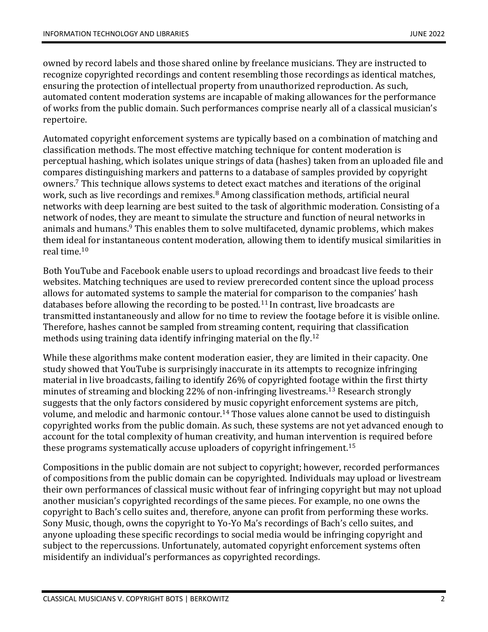owned by record labels and those shared online by freelance musicians. They are instructed to recognize copyrighted recordings and content resembling those recordings as identical matches, ensuring the protection of intellectual property from unauthorized reproduction. As such, automated content moderation systems are incapable of making allowances for the performance of works from the public domain. Such performances comprise nearly all of a classical musician's repertoire.

Automated copyright enforcement systems are typically based on a combination of matching and classification methods. The most effective matching technique for content moderation is perceptual hashing, which isolates unique strings of data (hashes) taken from an uploaded file and compares distinguishing markers and patterns to a database of samples provided by copyright owners.<sup>7</sup> This technique allows systems to detect exact matches and iterations of the original work, such as live recordings and remixes. $8$  Among classification methods, artificial neural networks with deep learning are best suited to the task of algorithmic moderation. Consisting of a network of nodes, they are meant to simulate the structure and function of neural networks in animals and humans.<sup>9</sup> This enables them to solve multifaceted, dynamic problems, which makes them ideal for instantaneous content moderation, allowing them to identify musical similarities in real time.<sup>10</sup>

Both YouTube and Facebook enable users to upload recordings and broadcast live feeds to their websites. Matching techniques are used to review prerecorded content since the upload process allows for automated systems to sample the material for comparison to the companies' hash databases before allowing the recording to be posted.<sup>11</sup> In contrast, live broadcasts are transmitted instantaneously and allow for no time to review the footage before it is visible online. Therefore, hashes cannot be sampled from streaming content, requiring that classification methods using training data identify infringing material on the fly.<sup>12</sup>

While these algorithms make content moderation easier, they are limited in their capacity. One study showed that YouTube is surprisingly inaccurate in its attempts to recognize infringing material in live broadcasts, failing to identify 26% of copyrighted footage within the first thirty minutes of streaming and blocking 22% of non-infringing livestreams.<sup>13</sup> Research strongly suggests that the only factors considered by music copyright enforcement systems are pitch, volume, and melodic and harmonic contour.<sup>14</sup> Those values alone cannot be used to distinguish copyrighted works from the public domain. As such, these systems are not yet advanced enough to account for the total complexity of human creativity, and human intervention is required before these programs systematically accuse uploaders of copyright infringement.<sup>15</sup>

Compositions in the public domain are not subject to copyright; however, recorded performances of compositions from the public domain can be copyrighted. Individuals may upload or livestream their own performances of classical music without fear of infringing copyright but may not upload another musician's copyrighted recordings of the same pieces. For example, no one owns the copyright to Bach's cello suites and, therefore, anyone can profit from performing these works. Sony Music, though, owns the copyright to Yo-Yo Ma's recordings of Bach's cello suites, and anyone uploading these specific recordings to social media would be infringing copyright and subject to the repercussions. Unfortunately, automated copyright enforcement systems often misidentify an individual's performances as copyrighted recordings.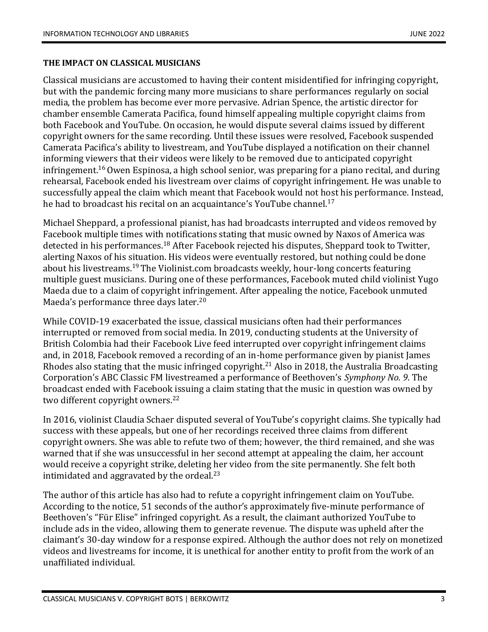#### **THE IMPACT ON CLASSICAL MUSICIANS**

Classical musicians are accustomed to having their content misidentified for infringing copyright, but with the pandemic forcing many more musicians to share performances regularly on social media, the problem has become ever more pervasive. Adrian Spence, the artistic director for chamber ensemble Camerata Pacifica, found himself appealing multiple copyright claims from both Facebook and YouTube. On occasion, he would dispute several claims issued by different copyright owners for the same recording. Until these issues were resolved, Facebook suspended Camerata Pacifica's ability to livestream, and YouTube displayed a notification on their channel informing viewers that their videos were likely to be removed due to anticipated copyright infringement.<sup>16</sup> Owen Espinosa, a high school senior, was preparing for a piano recital, and during rehearsal, Facebook ended his livestream over claims of copyright infringement. He was unable to successfully appeal the claim which meant that Facebook would not host his performance. Instead, he had to broadcast his recital on an acquaintance's YouTube channel.<sup>17</sup>

Michael Sheppard, a professional pianist, has had broadcasts interrupted and videos removed by Facebook multiple times with notifications stating that music owned by Naxos of America was detected in his performances.<sup>18</sup> After Facebook rejected his disputes, Sheppard took to Twitter, alerting Naxos of his situation. His videos were eventually restored, but nothing could be done about his livestreams.<sup>19</sup> The Violinist.com broadcasts weekly, hour-long concerts featuring multiple guest musicians. During one of these performances, Facebook muted child violinist Yugo Maeda due to a claim of copyright infringement. After appealing the notice, Facebook unmuted Maeda's performance three days later.<sup>20</sup>

While COVID-19 exacerbated the issue, classical musicians often had their performances interrupted or removed from social media. In 2019, conducting students at the University of British Colombia had their Facebook Live feed interrupted over copyright infringement claims and, in 2018, Facebook removed a recording of an in-home performance given by pianist James Rhodes also stating that the music infringed copyright.<sup>21</sup> Also in 2018, the Australia Broadcasting Corporation's ABC Classic FM livestreamed a performance of Beethoven's *Symphony No. 9*. The broadcast ended with Facebook issuing a claim stating that the music in question was owned by two different copyright owners.<sup>22</sup>

In 2016, violinist Claudia Schaer disputed several of YouTube's copyright claims. She typically had success with these appeals, but one of her recordings received three claims from different copyright owners. She was able to refute two of them; however, the third remained, and she was warned that if she was unsuccessful in her second attempt at appealing the claim, her account would receive a copyright strike, deleting her video from the site permanently. She felt both intimidated and aggravated by the ordeal. $^{23}$ 

The author of this article has also had to refute a copyright infringement claim on YouTube. According to the notice, 51 seconds of the author's approximately five-minute performance of Beethoven's "Für Elise" infringed copyright. As a result, the claimant authorized YouTube to include ads in the video, allowing them to generate revenue. The dispute was upheld after the claimant's 30-day window for a response expired. Although the author does not rely on monetized videos and livestreams for income, it is unethical for another entity to profit from the work of an unaffiliated individual.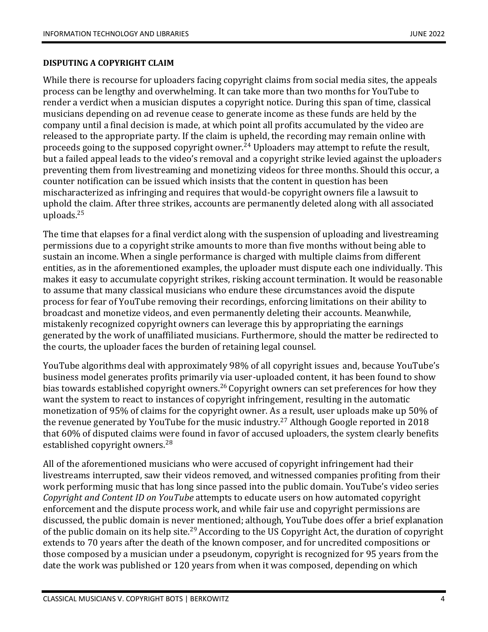#### **DISPUTING A COPYRIGHT CLAIM**

While there is recourse for uploaders facing copyright claims from social media sites, the appeals process can be lengthy and overwhelming. It can take more than two months for YouTube to render a verdict when a musician disputes a copyright notice. During this span of time, classical musicians depending on ad revenue cease to generate income as these funds are held by the company until a final decision is made, at which point all profits accumulated by the video are released to the appropriate party. If the claim is upheld, the recording may remain online with proceeds going to the supposed copyright owner.<sup>24</sup> Uploaders may attempt to refute the result, but a failed appeal leads to the video's removal and a copyright strike levied against the uploaders preventing them from livestreaming and monetizing videos for three months. Should this occur, a counter notification can be issued which insists that the content in question has been mischaracterized as infringing and requires that would-be copyright owners file a lawsuit to uphold the claim. After three strikes, accounts are permanently deleted along with all associated uploads.<sup>25</sup>

The time that elapses for a final verdict along with the suspension of uploading and livestreaming permissions due to a copyright strike amounts to more than five months without being able to sustain an income. When a single performance is charged with multiple claims from different entities, as in the aforementioned examples, the uploader must dispute each one individually. This makes it easy to accumulate copyright strikes, risking account termination. It would be reasonable to assume that many classical musicians who endure these circumstances avoid the dispute process for fear of YouTube removing their recordings, enforcing limitations on their ability to broadcast and monetize videos, and even permanently deleting their accounts. Meanwhile, mistakenly recognized copyright owners can leverage this by appropriating the earnings generated by the work of unaffiliated musicians. Furthermore, should the matter be redirected to the courts, the uploader faces the burden of retaining legal counsel.

YouTube algorithms deal with approximately 98% of all copyright issues and, because YouTube's business model generates profits primarily via user-uploaded content, it has been found to show bias towards established copyright owners.<sup>26</sup> Copyright owners can set preferences for how they want the system to react to instances of copyright infringement, resulting in the automatic monetization of 95% of claims for the copyright owner. As a result, user uploads make up 50% of the revenue generated by YouTube for the music industry.<sup>27</sup> Although Google reported in 2018 that 60% of disputed claims were found in favor of accused uploaders, the system clearly benefits established copyright owners.<sup>28</sup>

All of the aforementioned musicians who were accused of copyright infringement had their livestreams interrupted, saw their videos removed, and witnessed companies profiting from their work performing music that has long since passed into the public domain. YouTube's video series *Copyright and Content ID on YouTube* attempts to educate users on how automated copyright enforcement and the dispute process work, and while fair use and copyright permissions are discussed, the public domain is never mentioned; although, YouTube does offer a brief explanation of the public domain on its help site.<sup>29</sup> According to the US Copyright Act, the duration of copyright extends to 70 years after the death of the known composer, and for uncredited compositions or those composed by a musician under a pseudonym, copyright is recognized for 95 years from the date the work was published or 120 years from when it was composed, depending on which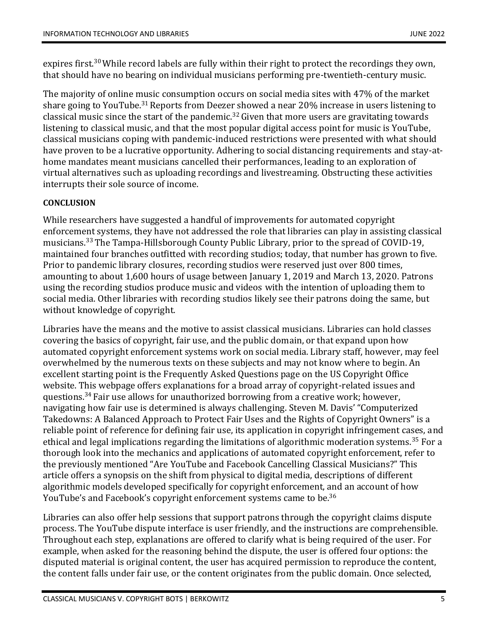expires first.<sup>30</sup> While record labels are fully within their right to protect the recordings they own, that should have no bearing on individual musicians performing pre-twentieth-century music.

The majority of online music consumption occurs on social media sites with 47% of the market share going to YouTube.<sup>31</sup> Reports from Deezer showed a near 20% increase in users listening to classical music since the start of the pandemic.<sup>32</sup> Given that more users are gravitating towards listening to classical music, and that the most popular digital access point for music is YouTube, classical musicians coping with pandemic-induced restrictions were presented with what should have proven to be a lucrative opportunity. Adhering to social distancing requirements and stay-athome mandates meant musicians cancelled their performances, leading to an exploration of virtual alternatives such as uploading recordings and livestreaming. Obstructing these activities interrupts their sole source of income.

## **CONCLUSION**

While researchers have suggested a handful of improvements for automated copyright enforcement systems, they have not addressed the role that libraries can play in assisting classical musicians.<sup>33</sup> The Tampa-Hillsborough County Public Library, prior to the spread of COVID-19, maintained four branches outfitted with recording studios; today, that number has grown to five. Prior to pandemic library closures, recording studios were reserved just over 800 times, amounting to about 1,600 hours of usage between January 1, 2019 and March 13, 2020. Patrons using the recording studios produce music and videos with the intention of uploading them to social media. Other libraries with recording studios likely see their patrons doing the same, but without knowledge of copyright.

Libraries have the means and the motive to assist classical musicians. Libraries can hold classes covering the basics of copyright, fair use, and the public domain, or that expand upon how automated copyright enforcement systems work on social media. Library staff, however, may feel overwhelmed by the numerous texts on these subjects and may not know where to begin. An excellent starting point is the Frequently Asked Questions page on the US Copyright Office website. This webpage offers explanations for a broad array of copyright-related issues and questions.<sup>34</sup> Fair use allows for unauthorized borrowing from a creative work; however, navigating how fair use is determined is always challenging. Steven M. Davis' "Computerized Takedowns: A Balanced Approach to Protect Fair Uses and the Rights of Copyright Owners" is a reliable point of reference for defining fair use, its application in copyright infringement cases, and ethical and legal implications regarding the limitations of algorithmic moderation systems.<sup>35</sup> For a thorough look into the mechanics and applications of automated copyright enforcement, refer to the previously mentioned "Are YouTube and Facebook Cancelling Classical Musicians?" This article offers a synopsis on the shift from physical to digital media, descriptions of different algorithmic models developed specifically for copyright enforcement, and an account of how YouTube's and Facebook's copyright enforcement systems came to be.<sup>36</sup>

Libraries can also offer help sessions that support patrons through the copyright claims dispute process. The YouTube dispute interface is user friendly, and the instructions are comprehensible. Throughout each step, explanations are offered to clarify what is being required of the user. For example, when asked for the reasoning behind the dispute, the user is offered four options: the disputed material is original content, the user has acquired permission to reproduce the content, the content falls under fair use, or the content originates from the public domain. Once selected,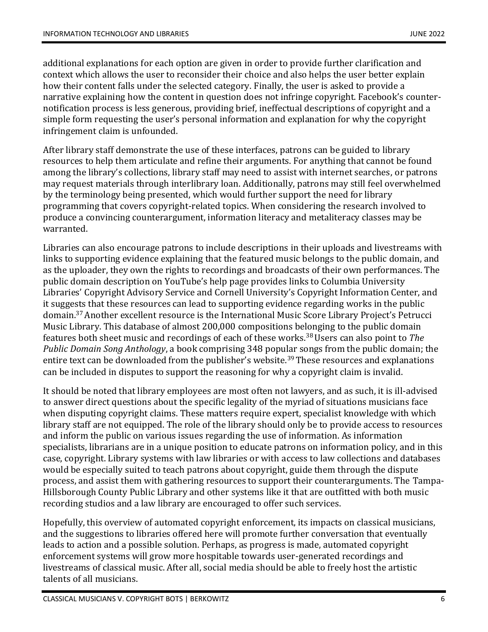additional explanations for each option are given in order to provide further clarification and context which allows the user to reconsider their choice and also helps the user better explain how their content falls under the selected category. Finally, the user is asked to provide a narrative explaining how the content in question does not infringe copyright. Facebook's counternotification process is less generous, providing brief, ineffectual descriptions of copyright and a simple form requesting the user's personal information and explanation for why the copyright infringement claim is unfounded.

After library staff demonstrate the use of these interfaces, patrons can be guided to library resources to help them articulate and refine their arguments. For anything that cannot be found among the library's collections, library staff may need to assist with internet searches, or patrons may request materials through interlibrary loan. Additionally, patrons may still feel overwhelmed by the terminology being presented, which would further support the need for library programming that covers copyright-related topics. When considering the research involved to produce a convincing counterargument, information literacy and metaliteracy classes may be warranted.

Libraries can also encourage patrons to include descriptions in their uploads and livestreams with links to supporting evidence explaining that the featured music belongs to the public domain, and as the uploader, they own the rights to recordings and broadcasts of their own performances. The public domain description on YouTube's help page provides links to Columbia University Libraries' Copyright Advisory Service and Cornell University's Copyright Information Center, and it suggests that these resources can lead to supporting evidence regarding works in the public domain.<sup>37</sup>Another excellent resource is the International Music Score Library Project's Petrucci Music Library. This database of almost 200,000 compositions belonging to the public domain features both sheet music and recordings of each of these works.<sup>38</sup>Users can also point to *The Public Domain Song Anthology*, a book comprising 348 popular songs from the public domain; the entire text can be downloaded from the publisher's website.<sup>39</sup> These resources and explanations can be included in disputes to support the reasoning for why a copyright claim is invalid.

It should be noted that library employees are most often not lawyers, and as such, it is ill-advised to answer direct questions about the specific legality of the myriad of situations musicians face when disputing copyright claims. These matters require expert, specialist knowledge with which library staff are not equipped. The role of the library should only be to provide access to resources and inform the public on various issues regarding the use of information. As information specialists, librarians are in a unique position to educate patrons on information policy, and in this case, copyright. Library systems with law libraries or with access to law collections and databases would be especially suited to teach patrons about copyright, guide them through the dispute process, and assist them with gathering resources to support their counterarguments. The Tampa-Hillsborough County Public Library and other systems like it that are outfitted with both music recording studios and a law library are encouraged to offer such services.

Hopefully, this overview of automated copyright enforcement, its impacts on classical musicians, and the suggestions to libraries offered here will promote further conversation that eventually leads to action and a possible solution. Perhaps, as progress is made, automated copyright enforcement systems will grow more hospitable towards user-generated recordings and livestreams of classical music. After all, social media should be able to freely host the artistic talents of all musicians.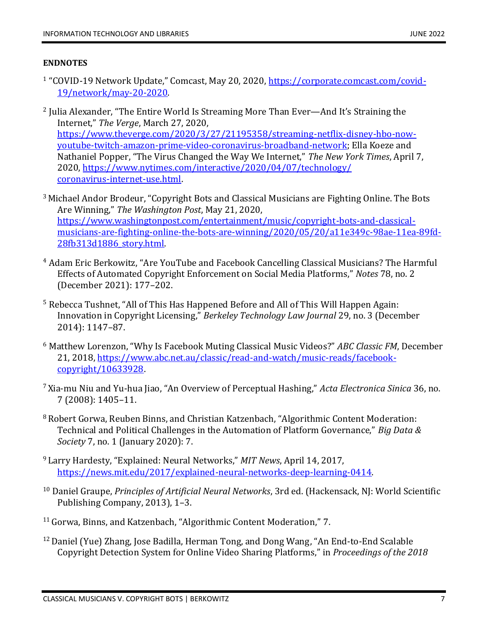### **ENDNOTES**

- <sup>1</sup> "COVID-19 Network Update," Comcast, May 20, 2020, <u>https://corporate.comcast.com/covid-</u> [19/network/may-20-2020.](https://corporate.comcast.com/covid-19/network/may-20-2020)
- $2$  Julia Alexander, "The Entire World Is Streaming More Than Ever—And It's Straining the Internet," *The Verge*, March 27, 2020, [https://www.theverge.com/2020/3/27/21195358/streaming-netflix-disney-hbo-now](https://www.theverge.com/2020/3/27/21195358/streaming-netflix-disney-hbo-now-youtube-twitch-amazon-prime-video-coronavirus-broadband-network)[youtube-twitch-amazon-prime-video-coronavirus-broadband-network;](https://www.theverge.com/2020/3/27/21195358/streaming-netflix-disney-hbo-now-youtube-twitch-amazon-prime-video-coronavirus-broadband-network) Ella Koeze and Nathaniel Popper, "The Virus Changed the Way We Internet," *The New York Times*, April 7, 2020[, https://www.nytimes.com/interactive/2020/04/07/technology/](https://www.nytimes.com/interactive/2020/04/07/technology/coronavirus-internet-use.html) [coronavirus-internet-use.html.](https://www.nytimes.com/interactive/2020/04/07/technology/coronavirus-internet-use.html)
- <sup>3</sup> Michael Andor Brodeur, "Copyright Bots and Classical Musicians are Fighting Online. The Bots Are Winning," *The Washington Post*, May 21, 2020, [https://www.washingtonpost.com/entertainment/music/copyright-bots-and-classical](https://www.washingtonpost.com/entertainment/music/copyright-bots-and-classical-musicians-are-fighting-online-the-bots-are-winning/2020/05/20/a11e349c-98ae-11ea-89fd-28fb313d1886_story.html)[musicians-are-fighting-online-the-bots-are-winning/2020/05/20/a11e349c-98ae-11ea-89fd-](https://www.washingtonpost.com/entertainment/music/copyright-bots-and-classical-musicians-are-fighting-online-the-bots-are-winning/2020/05/20/a11e349c-98ae-11ea-89fd-28fb313d1886_story.html)[28fb313d1886\\_story.html.](https://www.washingtonpost.com/entertainment/music/copyright-bots-and-classical-musicians-are-fighting-online-the-bots-are-winning/2020/05/20/a11e349c-98ae-11ea-89fd-28fb313d1886_story.html)
- <sup>4</sup> Adam Eric Berkowitz, "Are YouTube and Facebook Cancelling Classical Musicians? The Harmful Effects of Automated Copyright Enforcement on Social Media Platforms," *Notes* 78, no. 2 (December 2021): 177–202.
- <sup>5</sup> Rebecca Tushnet, "All of This Has Happened Before and All of This Will Happen Again: Innovation in Copyright Licensing," *Berkeley Technology Law Journal* 29, no. 3 (December 2014): 1147–87.
- <sup>6</sup> Matthew Lorenzon, "Why Is Facebook Muting Classical Music Videos?" *ABC Classic FM*, December 21, 2018, [https://www.abc.net.au/classic/read-and-watch/music-reads/facebook](https://www.abc.net.au/classic/read-and-watch/music-reads/facebook-copyright/10633928)[copyright/10633928.](https://www.abc.net.au/classic/read-and-watch/music-reads/facebook-copyright/10633928)
- <sup>7</sup> Xia-mu Niu and Yu-hua Jiao, "An Overview of Perceptual Hashing," *Acta Electronica Sinica* 36, no. 7 (2008): 1405–11.
- <sup>8</sup> Robert Gorwa, Reuben Binns, and Christian Katzenbach, "Algorithmic Content Moderation: Technical and Political Challenges in the Automation of Platform Governance," *Big Data & Society* 7, no. 1 (January 2020): 7.
- <sup>9</sup> Larry Hardesty, "Explained: Neural Networks," *MIT News*, April 14, 2017, [https://news.mit.edu/2017/explained-neural-networks-deep-learning-0414.](https://news.mit.edu/2017/explained-neural-networks-deep-learning-0414)
- <sup>10</sup> Daniel Graupe, *Principles of Artificial Neural Networks*, 3rd ed. (Hackensack, NJ: World Scientific Publishing Company, 2013), 1–3.
- <sup>11</sup> Gorwa, Binns, and Katzenbach, "Algorithmic Content Moderation," 7.
- <sup>12</sup> Daniel (Yue) Zhang, Jose Badilla, Herman Tong, and Dong Wang, "An End-to-End Scalable Copyright Detection System for Online Video Sharing Platforms," in *Proceedings of the 2018*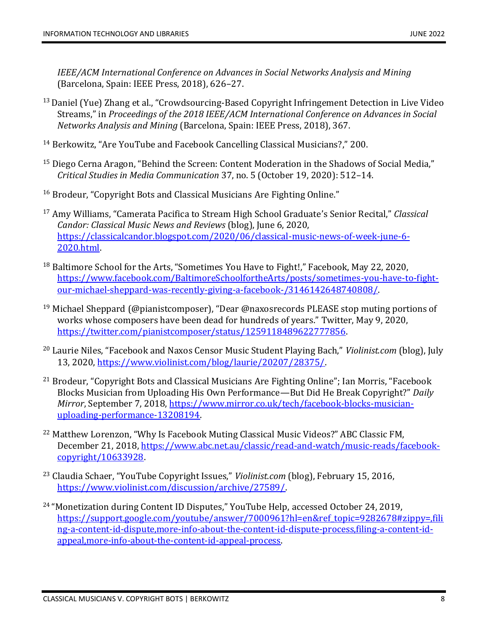*IEEE/ACM International Conference on Advances in Social Networks Analysis and Mining* (Barcelona, Spain: IEEE Press, 2018), 626–27.

- <sup>13</sup> Daniel (Yue) Zhang et al., "Crowdsourcing-Based Copyright Infringement Detection in Live Video Streams," in *Proceedings of the 2018 IEEE/ACM International Conference on Advances in Social Networks Analysis and Mining* (Barcelona, Spain: IEEE Press, 2018), 367.
- <sup>14</sup> Berkowitz, "Are YouTube and Facebook Cancelling Classical Musicians?," 200.
- <sup>15</sup> Diego Cerna Aragon, "Behind the Screen: Content Moderation in the Shadows of Social Media," *Critical Studies in Media Communication* 37, no. 5 (October 19, 2020): 512–14.
- <sup>16</sup> Brodeur, "Copyright Bots and Classical Musicians Are Fighting Online."
- <sup>17</sup> Amy Williams, "Camerata Pacifica to Stream High School Graduate's Senior Recital," *Classical Candor: Classical Music News and Reviews* (blog), June 6, 2020, [https://classicalcandor.blogspot.com/2020/06/classical-music-news-of-week-june-6-](https://classicalcandor.blogspot.com/2020/06/classical-music-news-of-week-june-6-2020.html) [2020.html.](https://classicalcandor.blogspot.com/2020/06/classical-music-news-of-week-june-6-2020.html)
- <sup>18</sup> Baltimore School for the Arts, "Sometimes You Have to Fight!," Facebook, May 22, 2020, [https://www.facebook.com/BaltimoreSchoolfortheArts/posts/sometimes-you-have-to-fight](https://www.facebook.com/BaltimoreSchoolfortheArts/posts/sometimes-you-have-to-fight-our-michael-sheppard-was-recently-giving-a-facebook-/3146142648740808/)[our-michael-sheppard-was-recently-giving-a-facebook-/3146142648740808/.](https://www.facebook.com/BaltimoreSchoolfortheArts/posts/sometimes-you-have-to-fight-our-michael-sheppard-was-recently-giving-a-facebook-/3146142648740808/)
- <sup>19</sup> Michael Sheppard (@pianistcomposer), "Dear @naxosrecords PLEASE stop muting portions of works whose composers have been dead for hundreds of years." Twitter, May 9, 2020, [https://twitter.com/pianistcomposer/status/1259118489622777856.](https://twitter.com/pianistcomposer/status/1259118489622777856)
- <sup>20</sup> Laurie Niles, "Facebook and Naxos Censor Music Student Playing Bach," *Violinist.com* (blog), July 13, 2020, [https://www.violinist.com/blog/laurie/20207/28375/.](https://www.violinist.com/blog/laurie/20207/28375/)
- $21$  Brodeur, "Copyright Bots and Classical Musicians Are Fighting Online"; Ian Morris, "Facebook Blocks Musician from Uploading His Own Performance—But Did He Break Copyright?" *Daily Mirror*, September 7, 2018, [https://www.mirror.co.uk/tech/facebook-blocks-musician](https://www.mirror.co.uk/tech/facebook-blocks-musician-uploading-performance-13208194)[uploading-performance-13208194.](https://www.mirror.co.uk/tech/facebook-blocks-musician-uploading-performance-13208194)
- <sup>22</sup> Matthew Lorenzon, "Why Is Facebook Muting Classical Music Videos?" ABC Classic FM, December 21, 2018, [https://www.abc.net.au/classic/read-and-watch/music-reads/facebook](https://www.abc.net.au/classic/read-and-watch/music-reads/facebook-copyright/10633928)[copyright/10633928.](https://www.abc.net.au/classic/read-and-watch/music-reads/facebook-copyright/10633928)
- <sup>23</sup> Claudia Schaer, "YouTube Copyright Issues," *Violinist.com* (blog), February 15, 2016, [https://www.violinist.com/discussion/archive/27589/.](https://www.violinist.com/discussion/archive/27589/)
- <sup>24</sup> "Monetization during Content ID Disputes," YouTube Help, accessed October 24, 2019, [https://support.google.com/youtube/answer/7000961?hl=en&ref\\_topic=9282678#zippy=,fili](https://support.google.com/youtube/answer/7000961?hl=en&ref_topic=9282678#zippy=,filing-a-content-id-dispute,more-info-about-the-content-id-dispute-process,filing-a-content-id-appeal,more-info-about-the-content-id-appeal-process) [ng-a-content-id-dispute,more-info-about-the-content-id-dispute-process,filing-a-content-id](https://support.google.com/youtube/answer/7000961?hl=en&ref_topic=9282678#zippy=,filing-a-content-id-dispute,more-info-about-the-content-id-dispute-process,filing-a-content-id-appeal,more-info-about-the-content-id-appeal-process)[appeal,more-info-about-the-content-id-appeal-process.](https://support.google.com/youtube/answer/7000961?hl=en&ref_topic=9282678#zippy=,filing-a-content-id-dispute,more-info-about-the-content-id-dispute-process,filing-a-content-id-appeal,more-info-about-the-content-id-appeal-process)